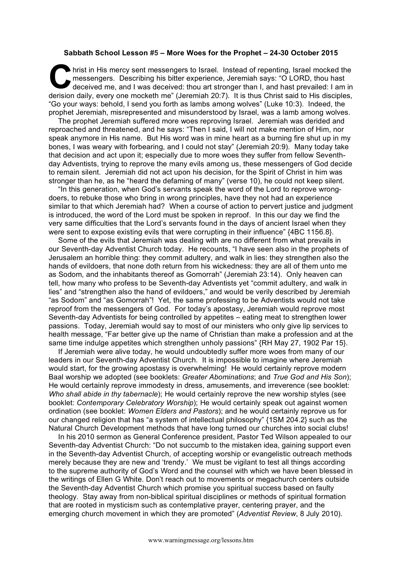## **Sabbath School Lesson #5 – More Woes for the Prophet – 24-30 October 2015**

hrist in His mercy sent messengers to Israel. Instead of repenting, Israel mocked the messengers. Describing his bitter experience, Jeremiah says: "O LORD, thou hast deceived me, and I was deceived: thou art stronger than I, and hast prevailed: I am in derision daily, every one mocketh me" (Jeremiah 20:7). It is thus Christ said to His disciples, "Go your ways: behold, I send you forth as lambs among wolves" (Luke 10:3). Indeed, the prophet Jeremiah, misrepresented and misunderstood by Israel, was a lamb among wolves. C hris

The prophet Jeremiah suffered more woes reproving Israel. Jeremiah was derided and reproached and threatened, and he says: "Then I said, I will not make mention of Him, nor speak anymore in His name. But His word was in mine heart as a burning fire shut up in my bones, I was weary with forbearing, and I could not stay" (Jeremiah 20:9). Many today take that decision and act upon it; especially due to more woes they suffer from fellow Seventhday Adventists, trying to reprove the many evils among us, these messengers of God decide to remain silent. Jeremiah did not act upon his decision, for the Spirit of Christ in him was stronger than he, as he "heard the defaming of many" (verse 10), he could not keep silent.

"In this generation, when God's servants speak the word of the Lord to reprove wrongdoers, to rebuke those who bring in wrong principles, have they not had an experience similar to that which Jeremiah had? When a course of action to pervert justice and judgment is introduced, the word of the Lord must be spoken in reproof. In this our day we find the very same difficulties that the Lord's servants found in the days of ancient Israel when they were sent to expose existing evils that were corrupting in their influence" {4BC 1156.8}.

Some of the evils that Jeremiah was dealing with are no different from what prevails in our Seventh-day Adventist Church today. He recounts, "I have seen also in the prophets of Jerusalem an horrible thing: they commit adultery, and walk in lies: they strengthen also the hands of evildoers, that none doth return from his wickedness: they are all of them unto me as Sodom, and the inhabitants thereof as Gomorrah" (Jeremiah 23:14). Only heaven can tell, how many who profess to be Seventh-day Adventists yet "commit adultery, and walk in lies" and "strengthen also the hand of evildoers," and would be verily described by Jeremiah "as Sodom" and "as Gomorrah"! Yet, the same professing to be Adventists would not take reproof from the messengers of God. For today's apostasy, Jeremiah would reprove most Seventh-day Adventists for being controlled by appetites – eating meat to strengthen lower passions. Today, Jeremiah would say to most of our ministers who only give lip services to health message, "Far better give up the name of Christian than make a profession and at the same time indulge appetites which strengthen unholy passions" {RH May 27, 1902 Par 15}.

If Jeremiah were alive today, he would undoubtedly suffer more woes from many of our leaders in our Seventh-day Adventist Church. It is impossible to imagine where Jeremiah would start, for the growing apostasy is overwhelming! He would certainly reprove modern Baal worship we adopted (see booklets: *Greater Abominations*; and *True God and His Son*); He would certainly reprove immodesty in dress, amusements, and irreverence (see booklet: *Who shall abide in thy tabernacle*); He would certainly reprove the new worship styles (see booklet: *Contemporary Celebratory Worship*); He would certainly speak out against women ordination (see booklet: *Women Elders and Pastors*); and he would certainly reprove us for our changed religion that has "a system of intellectual philosophy" {1SM 204.2} such as the Natural Church Development methods that have long turned our churches into social clubs!

In his 2010 sermon as General Conference president, Pastor Ted Wilson appealed to our Seventh-day Adventist Church: "Do not succumb to the mistaken idea, gaining support even in the Seventh-day Adventist Church, of accepting worship or evangelistic outreach methods merely because they are new and 'trendy.' We must be vigilant to test all things according to the supreme authority of God's Word and the counsel with which we have been blessed in the writings of Ellen G White. Don't reach out to movements or megachurch centers outside the Seventh-day Adventist Church which promise you spiritual success based on faulty theology. Stay away from non-biblical spiritual disciplines or methods of spiritual formation that are rooted in mysticism such as contemplative prayer, centering prayer, and the emerging church movement in which they are promoted" (*Adventist Review*, 8 July 2010).